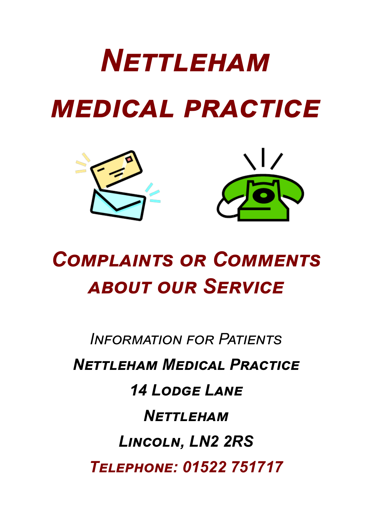# *Nettleham medical practice*



# *Complaints or Comments about our Service*

*Information for Patients Nettleham Medical Practice 14 Lodge Lane Nettleham Lincoln, LN2 2RS Telephone: 01522 751717*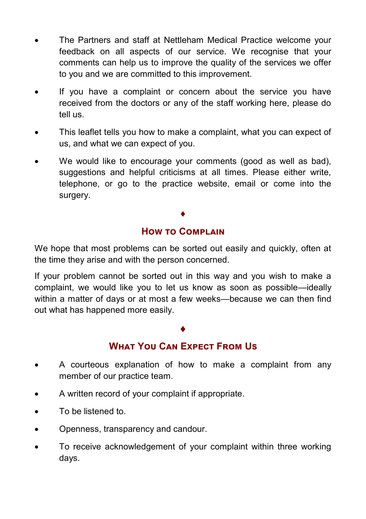- The Partners and staff at Nettleham Medical Practice welcome your feedback on all aspects of our service. We recognise that your comments can help us to improve the quality of the services we offer to you and we are committed to this improvement.
- If you have a complaint or concern about the service you have received from the doctors or any of the staff working here, please do tell us.
- This leaflet tells you how to make a complaint, what you can expect of us, and what we can expect of you.
- We would like to encourage your comments (good as well as bad), suggestions and helpful criticisms at all times. Please either write, telephone, or go to the practice website, email or come into the surgery.

### $\blacklozenge$ **How to Complain**

We hope that most problems can be sorted out easily and quickly, often at the time they arise and with the person concerned.

If your problem cannot be sorted out in this way and you wish to make a complaint, we would like you to let us know as soon as possible—ideally within a matter of days or at most a few weeks—because we can then find out what has happened more easily.

# $\blacklozenge$ **What You Can Expect From Us**

- A courteous explanation of how to make a complaint from any member of our practice team.
- A written record of your complaint if appropriate.
- To be listened to.
- Openness, transparency and candour.
- To receive acknowledgement of your complaint within three working days.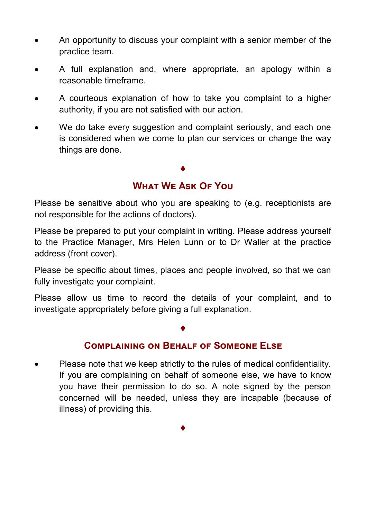- An opportunity to discuss your complaint with a senior member of the practice team.
- A full explanation and, where appropriate, an apology within a reasonable timeframe.
- A courteous explanation of how to take you complaint to a higher authority, if you are not satisfied with our action.
- We do take every suggestion and complaint seriously, and each one is considered when we come to plan our services or change the way things are done.

# $\blacklozenge$ **What We Ask Of You**

Please be sensitive about who you are speaking to (e.g. receptionists are not responsible for the actions of doctors).

Please be prepared to put your complaint in writing. Please address yourself to the Practice Manager, Mrs Helen Lunn or to Dr Waller at the practice address (front cover).

Please be specific about times, places and people involved, so that we can fully investigate your complaint.

Please allow us time to record the details of your complaint, and to investigate appropriately before giving a full explanation.

# $\blacklozenge$

#### **Complaining on Behalf of Someone Else**

 Please note that we keep strictly to the rules of medical confidentiality. If you are complaining on behalf of someone else, we have to know you have their permission to do so. A note signed by the person concerned will be needed, unless they are incapable (because of illness) of providing this.

 $\blacklozenge$